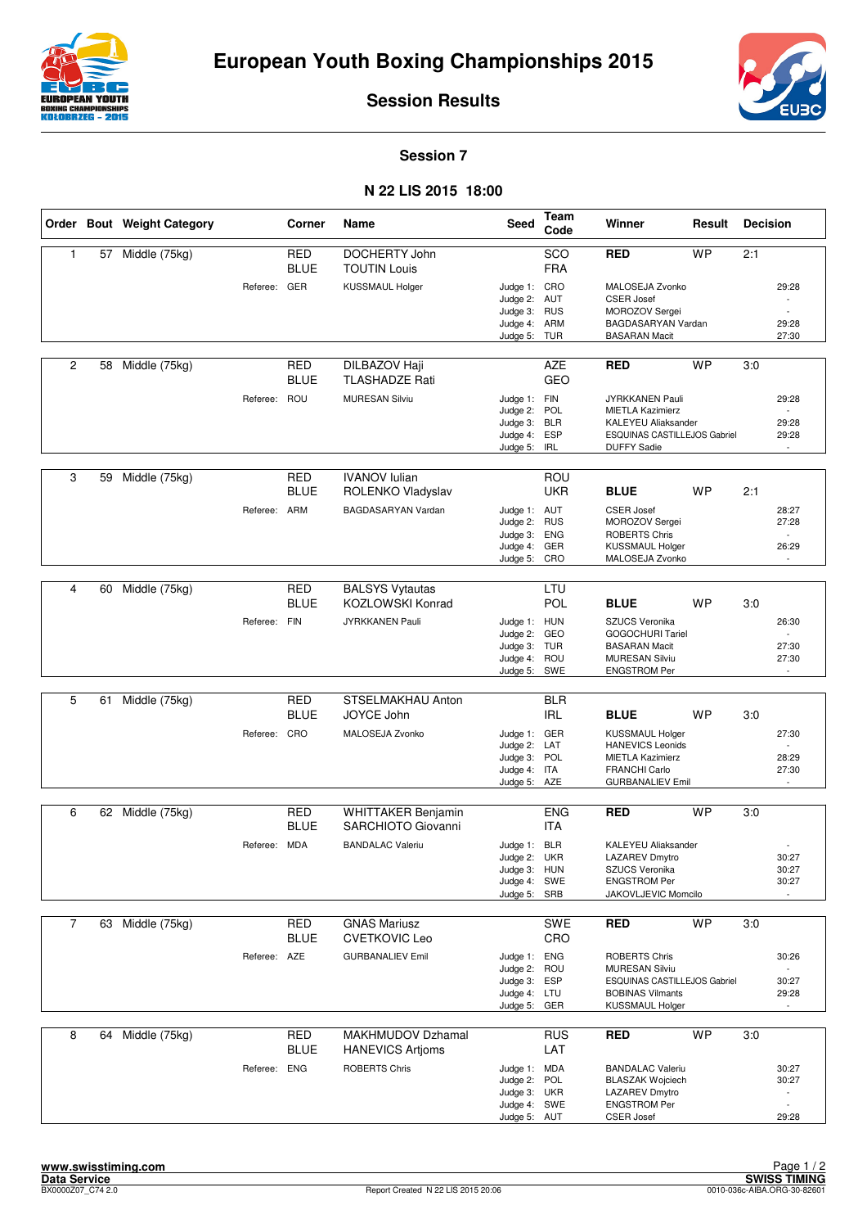



**Session Results**

**Session 7**

## **N 22 LIS 2015 18:00**

|                |    | Order Bout Weight Category |              | Corner                    | Name                                            | Seed                                                                         | Team<br>Code                    | Winner                                                                                                                         | Result    | <b>Decision</b> |                                                                                 |
|----------------|----|----------------------------|--------------|---------------------------|-------------------------------------------------|------------------------------------------------------------------------------|---------------------------------|--------------------------------------------------------------------------------------------------------------------------------|-----------|-----------------|---------------------------------------------------------------------------------|
| 1              | 57 | Middle (75kg)              |              | <b>RED</b><br><b>BLUE</b> | DOCHERTY John<br><b>TOUTIN Louis</b>            |                                                                              | SCO<br><b>FRA</b>               | <b>RED</b>                                                                                                                     | <b>WP</b> | 2:1             |                                                                                 |
|                |    |                            | Referee: GER |                           | <b>KUSSMAUL Holger</b>                          | Judge 1: CRO<br>Judge 2: AUT<br>Judge 3: RUS<br>Judge 4:<br>Judge 5: TUR     | ARM                             | MALOSEJA Zvonko<br><b>CSER Josef</b><br>MOROZOV Sergei<br>BAGDASARYAN Vardan<br><b>BASARAN Macit</b>                           |           |                 | 29:28<br>29:28<br>27:30                                                         |
| 2              | 58 | Middle (75kg)              |              | <b>RED</b><br><b>BLUE</b> | DILBAZOV Haji<br><b>TLASHADZE Rati</b>          |                                                                              | <b>AZE</b><br><b>GEO</b>        | <b>RED</b>                                                                                                                     | <b>WP</b> | 3:0             |                                                                                 |
|                |    |                            | Referee: ROU |                           | <b>MURESAN Silviu</b>                           | Judge 1: FIN<br>Judge 2:<br>Judge 3: BLR<br>Judge 4:<br>Judge 5:             | POL<br><b>ESP</b><br><b>IRL</b> | JYRKKANEN Pauli<br><b>MIETLA Kazimierz</b><br><b>KALEYEU Aliaksander</b><br>ESQUINAS CASTILLEJOS Gabriel<br><b>DUFFY Sadie</b> |           |                 | 29:28<br>29:28<br>29:28<br>$\mathcal{L}$                                        |
| 3              | 59 | Middle (75kg)              |              | <b>RED</b><br>BLUE        | <b>IVANOV Iulian</b><br>ROLENKO Vladyslav       |                                                                              | ROU<br><b>UKR</b>               | <b>BLUE</b>                                                                                                                    | <b>WP</b> | 2:1             |                                                                                 |
|                |    |                            | Referee: ARM |                           | BAGDASARYAN Vardan                              | Judge 1: AUT<br>Judge 2:<br>Judge 3:<br>Judge 4: GER<br>Judge 5:             | <b>RUS</b><br><b>ENG</b><br>CRO | <b>CSER Josef</b><br>MOROZOV Sergei<br><b>ROBERTS Chris</b><br><b>KUSSMAUL Holger</b><br>MALOSEJA Zvonko                       |           |                 | 28:27<br>27:28<br>$\sim$<br>26:29                                               |
| 4              | 60 | Middle (75kg)              |              | <b>RED</b>                | <b>BALSYS Vytautas</b>                          |                                                                              | LTU                             |                                                                                                                                |           |                 |                                                                                 |
|                |    |                            | Referee: FIN | <b>BLUE</b>               | <b>KOZLOWSKI Konrad</b><br>JYRKKANEN Pauli      | Judge 1: HUN<br>Judge 2:<br>Judge 3: TUR<br>Judge 4:<br>Judge 5: SWE         | POL<br>GEO<br>ROU               | <b>BLUE</b><br>SZUCS Veronika<br>GOGOCHURI Tariel<br><b>BASARAN Macit</b><br><b>MURESAN Silviu</b><br><b>ENGSTROM Per</b>      | <b>WP</b> | 3:0             | 26:30<br>27:30<br>27:30                                                         |
|                |    |                            |              |                           |                                                 |                                                                              |                                 |                                                                                                                                |           |                 |                                                                                 |
| 5              | 61 | Middle (75kg)              |              | <b>RED</b><br><b>BLUE</b> | STSELMAKHAU Anton<br>JOYCE John                 |                                                                              | <b>BLR</b><br><b>IRL</b>        | <b>BLUE</b>                                                                                                                    | <b>WP</b> | 3:0             |                                                                                 |
|                |    |                            | Referee: CRO |                           | MALOSEJA Zvonko                                 | Judge 1: GER<br>Judge 2: LAT<br>Judge 3: POL<br>Judge 4: ITA<br>Judge 5: AZE |                                 | KUSSMAUL Holger<br><b>HANEVICS Leonids</b><br><b>MIETLA Kazimierz</b><br><b>FRANCHI Carlo</b><br><b>GURBANALIEV Emil</b>       |           |                 | 27:30<br>28:29<br>27:30<br>$\overline{\phantom{a}}$                             |
| 6              |    | 62 Middle (75kg)           |              | <b>RED</b>                | <b>WHITTAKER Benjamin</b>                       |                                                                              | <b>ENG</b>                      | <b>RED</b>                                                                                                                     | <b>WP</b> | 3:0             |                                                                                 |
|                |    |                            |              | <b>BLUE</b>               | SARCHIOTO Giovanni                              |                                                                              | <b>ITA</b>                      |                                                                                                                                |           |                 |                                                                                 |
|                |    |                            | Referee: MDA |                           | <b>BANDALAC Valeriu</b>                         | Judge 1: BLR<br>Judge 2: UKR<br>Judge 3: HUN<br>Judge 4: SWE<br>Judge 5: SRB |                                 | <b>KALEYEU Aliaksander</b><br>LAZAREV Dmytro<br>SZUCS Veronika<br><b>ENGSTROM Per</b><br>JAKOVLJEVIC Momcilo                   |           |                 | 30:27<br>30:27<br>30:27                                                         |
| $\overline{7}$ |    | 63 Middle (75kg)           |              | <b>RED</b>                | <b>GNAS Mariusz</b>                             |                                                                              | SWE                             | <b>RED</b>                                                                                                                     | <b>WP</b> | 3:0             |                                                                                 |
|                |    |                            | Referee: AZE | <b>BLUE</b>               | <b>CVETKOVIC Leo</b><br><b>GURBANALIEV Emil</b> | Judge 1: ENG<br>Judge 2:<br>Judge 3: ESP<br>Judge 4: LTU<br>Judge 5:         | CRO<br>ROU<br>GER               | ROBERTS Chris<br><b>MURESAN Silviu</b><br>ESQUINAS CASTILLEJOS Gabriel<br><b>BOBINAS Vilmants</b><br><b>KUSSMAUL Holger</b>    |           |                 | 30:26<br>30:27<br>29:28<br>$\sim$                                               |
| 8              | 64 | Middle (75kg)              |              | RED<br><b>BLUE</b>        | MAKHMUDOV Dzhamal<br><b>HANEVICS Artjoms</b>    |                                                                              | <b>RUS</b><br>LAT               | <b>RED</b>                                                                                                                     | <b>WP</b> | 3:0             |                                                                                 |
|                |    |                            | Referee: ENG |                           | <b>ROBERTS Chris</b>                            | Judge 1: MDA<br>Judge 2: POL<br>Judge 3: UKR<br>Judge 4: SWE<br>Judge 5: AUT |                                 | <b>BANDALAC Valeriu</b><br><b>BLASZAK Wojciech</b><br><b>LAZAREV Dmytro</b><br><b>ENGSTROM Per</b><br><b>CSER Josef</b>        |           |                 | 30:27<br>30:27<br>$\overline{\phantom{a}}$<br>$\overline{\phantom{a}}$<br>29:28 |